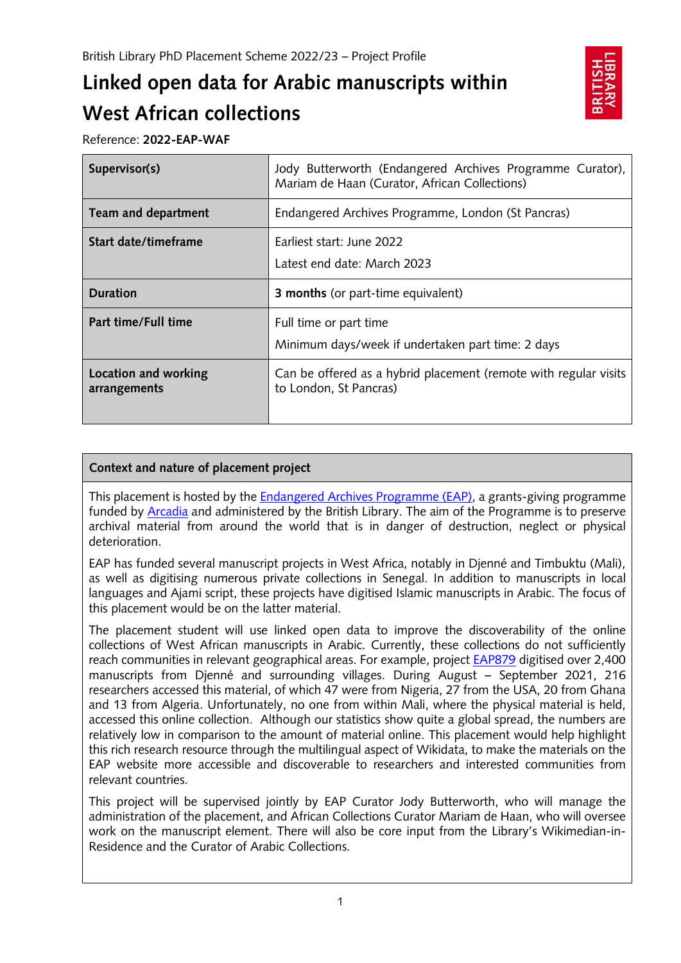# **Linked open data for Arabic manuscripts within West African collections**



Reference: **2022-EAP-WAF**

| Supervisor(s)                        | Jody Butterworth (Endangered Archives Programme Curator),<br>Mariam de Haan (Curator, African Collections) |
|--------------------------------------|------------------------------------------------------------------------------------------------------------|
| Team and department                  | Endangered Archives Programme, London (St Pancras)                                                         |
| Start date/timeframe                 | Farliest start: June 2022<br>Latest end date: March 2023                                                   |
| <b>Duration</b>                      | <b>3 months</b> (or part-time equivalent)                                                                  |
| Part time/Full time                  | Full time or part time<br>Minimum days/week if undertaken part time: 2 days                                |
| Location and working<br>arrangements | Can be offered as a hybrid placement (remote with regular visits<br>to London, St Pancras)                 |

## **Context and nature of placement project**

This placement is hosted by the [Endangered Archives Programme \(EAP\),](https://eap.bl.uk/) a grants-giving programme funded by [Arcadia](https://www.arcadiafund.org.uk/) and administered by the British Library. The aim of the Programme is to preserve archival material from around the world that is in danger of destruction, neglect or physical deterioration.

EAP has funded several manuscript projects in West Africa, notably in Djenné and Timbuktu (Mali), as well as digitising numerous private collections in Senegal. In addition to manuscripts in local languages and Ajami script, these projects have digitised Islamic manuscripts in Arabic. The focus of this placement would be on the latter material.

The placement student will use linked open data to improve the discoverability of the online collections of West African manuscripts in Arabic. Currently, these collections do not sufficiently reach communities in relevant geographical areas. For example, project [EAP879](https://eap.bl.uk/project/EAP879) digitised over 2,400 manuscripts from Djenné and surrounding villages. During August – September 2021, 216 researchers accessed this material, of which 47 were from Nigeria, 27 from the USA, 20 from Ghana and 13 from Algeria. Unfortunately, no one from within Mali, where the physical material is held, accessed this online collection. Although our statistics show quite a global spread, the numbers are relatively low in comparison to the amount of material online. This placement would help highlight this rich research resource through the multilingual aspect of Wikidata, to make the materials on the EAP website more accessible and discoverable to researchers and interested communities from relevant countries.

This project will be supervised jointly by EAP Curator Jody Butterworth, who will manage the administration of the placement, and African Collections Curator Mariam de Haan, who will oversee work on the manuscript element. There will also be core input from the Library's Wikimedian-in-Residence and the Curator of Arabic Collections.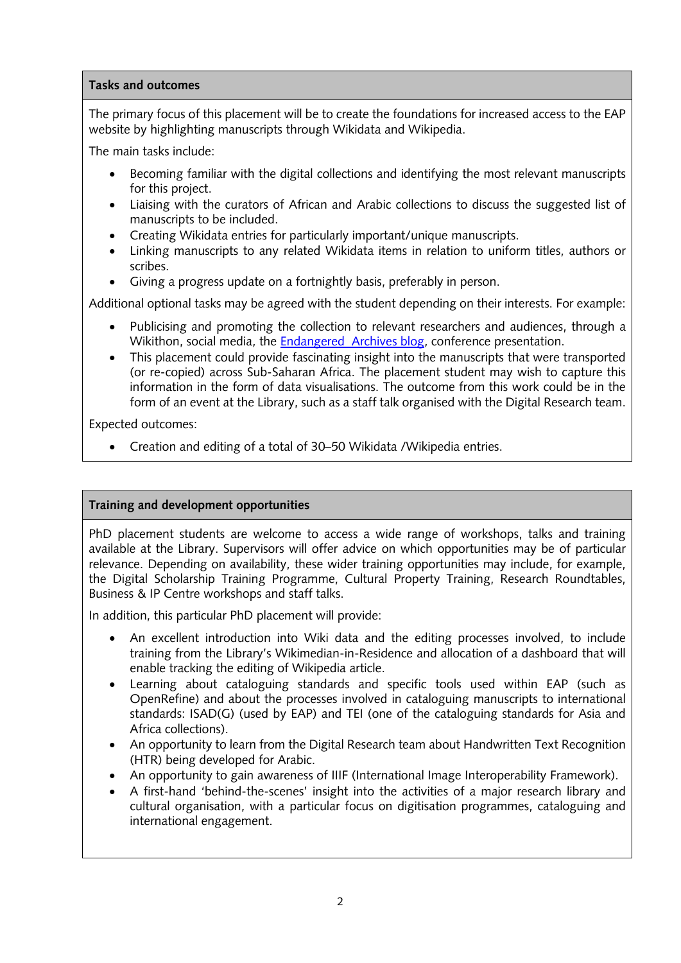### **Tasks and outcomes**

The primary focus of this placement will be to create the foundations for increased access to the EAP website by highlighting manuscripts through Wikidata and Wikipedia.

The main tasks include:

- Becoming familiar with the digital collections and identifying the most relevant manuscripts for this project.
- Liaising with the curators of African and Arabic collections to discuss the suggested list of manuscripts to be included.
- Creating Wikidata entries for particularly important/unique manuscripts.
- Linking manuscripts to any related Wikidata items in relation to uniform titles, authors or scribes.
- Giving a progress update on a fortnightly basis, preferably in person.

Additional optional tasks may be agreed with the student depending on their interests. For example:

- Publicising and promoting the collection to relevant researchers and audiences, through a Wikithon, social media, the [Endangered Archives](https://blogs.bl.uk/endangeredarchives/) blog, conference presentation.
- This placement could provide fascinating insight into the manuscripts that were transported (or re-copied) across Sub-Saharan Africa. The placement student may wish to capture this information in the form of data visualisations. The outcome from this work could be in the form of an event at the Library, such as a staff talk organised with the Digital Research team.

Expected outcomes:

• Creation and editing of a total of 30–50 Wikidata /Wikipedia entries.

## **Training and development opportunities**

PhD placement students are welcome to access a wide range of workshops, talks and training available at the Library. Supervisors will offer advice on which opportunities may be of particular relevance. Depending on availability, these wider training opportunities may include, for example, the Digital Scholarship Training Programme, Cultural Property Training, Research Roundtables, Business & IP Centre workshops and staff talks.

In addition, this particular PhD placement will provide:

- An excellent introduction into Wiki data and the editing processes involved, to include training from the Library's Wikimedian-in-Residence and allocation of a dashboard that will enable tracking the editing of Wikipedia article.
- Learning about cataloguing standards and specific tools used within EAP (such as OpenRefine) and about the processes involved in cataloguing manuscripts to international standards: ISAD(G) (used by EAP) and TEI (one of the cataloguing standards for Asia and Africa collections).
- An opportunity to learn from the Digital Research team about Handwritten Text Recognition (HTR) being developed for Arabic.
- An opportunity to gain awareness of IIIF (International Image Interoperability Framework).
- A first-hand 'behind-the-scenes' insight into the activities of a major research library and cultural organisation, with a particular focus on digitisation programmes, cataloguing and international engagement.